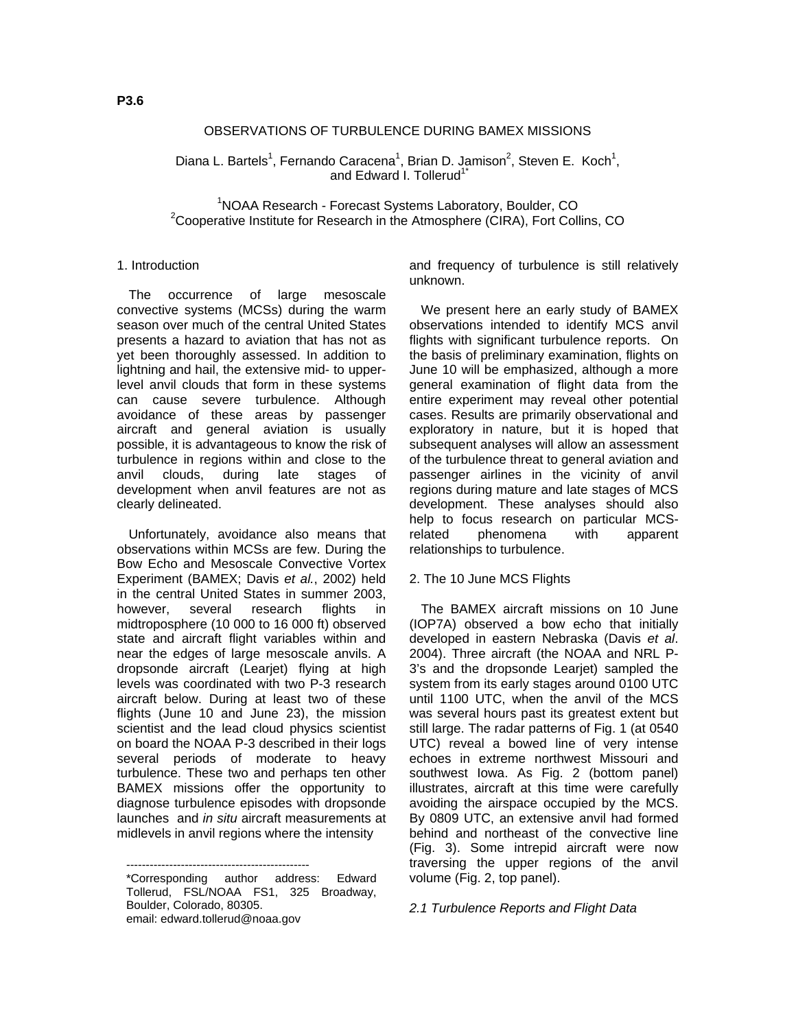### OBSERVATIONS OF TURBULENCE DURING BAMEX MISSIONS

Diana L. Bartels<sup>1</sup>, Fernando Caracena<sup>1</sup>, Brian D. Jamison<sup>2</sup>, Steven E. Koch<sup>1</sup>, and Edward I. Tollerud<sup>1\*</sup>

<sup>1</sup>NOAA Research - Forecast Systems Laboratory, Boulder, CO<sup>2</sup>Connective Institute for Benegrative Institute of the *Atmosphere (CIBA)*, Fort Coll <sup>2</sup>Cooperative Institute for Research in the Atmosphere (CIRA), Fort Collins, CO

#### 1. Introduction

The occurrence of large mesoscale convective systems (MCSs) during the warm season over much of the central United States presents a hazard to aviation that has not as yet been thoroughly assessed. In addition to lightning and hail, the extensive mid- to upperlevel anvil clouds that form in these systems can cause severe turbulence. Although avoidance of these areas by passenger aircraft and general aviation is usually possible, it is advantageous to know the risk of turbulence in regions within and close to the anvil clouds, during late stages of development when anvil features are not as clearly delineated.

Unfortunately, avoidance also means that observations within MCSs are few. During the Bow Echo and Mesoscale Convective Vortex Experiment (BAMEX; Davis *et al.*, 2002) held in the central United States in summer 2003, however, several research flights in midtroposphere (10 000 to 16 000 ft) observed state and aircraft flight variables within and near the edges of large mesoscale anvils. A dropsonde aircraft (Learjet) flying at high levels was coordinated with two P-3 research aircraft below. During at least two of these flights (June 10 and June 23), the mission scientist and the lead cloud physics scientist on board the NOAA P-3 described in their logs several periods of moderate to heavy turbulence. These two and perhaps ten other BAMEX missions offer the opportunity to diagnose turbulence episodes with dropsonde launches and *in situ* aircraft measurements at midlevels in anvil regions where the intensity

----------------------------------------------- \*Corresponding author address: Edward Tollerud, FSL/NOAA FS1, 325 Broadway, Boulder, Colorado, 80305. email: edward.tollerud@noaa.gov

and frequency of turbulence is still relatively unknown.

We present here an early study of BAMEX observations intended to identify MCS anvil flights with significant turbulence reports. On the basis of preliminary examination, flights on June 10 will be emphasized, although a more general examination of flight data from the entire experiment may reveal other potential cases. Results are primarily observational and exploratory in nature, but it is hoped that subsequent analyses will allow an assessment of the turbulence threat to general aviation and passenger airlines in the vicinity of anvil regions during mature and late stages of MCS development. These analyses should also help to focus research on particular MCSrelated phenomena with apparent relationships to turbulence.

#### 2. The 10 June MCS Flights

The BAMEX aircraft missions on 10 June (IOP7A) observed a bow echo that initially developed in eastern Nebraska (Davis *et al*. 2004). Three aircraft (the NOAA and NRL P-3's and the dropsonde Learjet) sampled the system from its early stages around 0100 UTC until 1100 UTC, when the anvil of the MCS was several hours past its greatest extent but still large. The radar patterns of Fig. 1 (at 0540 UTC) reveal a bowed line of very intense echoes in extreme northwest Missouri and southwest Iowa. As Fig. 2 (bottom panel) illustrates, aircraft at this time were carefully avoiding the airspace occupied by the MCS. By 0809 UTC, an extensive anvil had formed behind and northeast of the convective line (Fig. 3). Some intrepid aircraft were now traversing the upper regions of the anvil volume (Fig. 2, top panel).

#### *2.1 Turbulence Reports and Flight Data*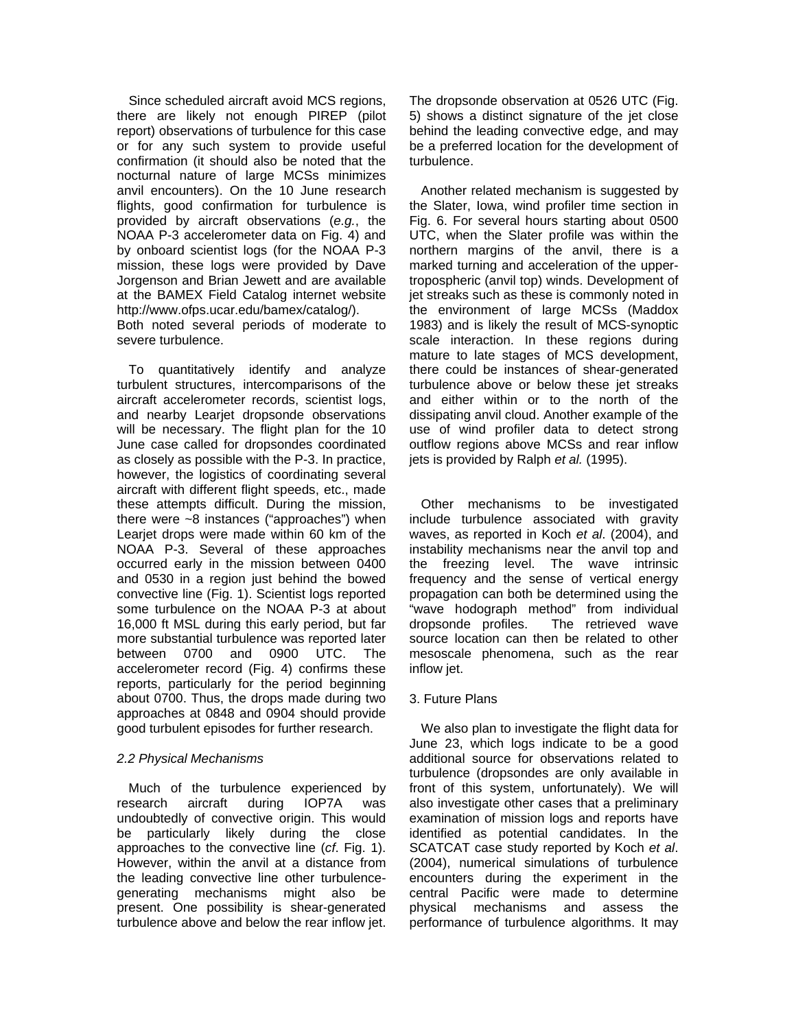Since scheduled aircraft avoid MCS regions, there are likely not enough PIREP (pilot report) observations of turbulence for this case or for any such system to provide useful confirmation (it should also be noted that the nocturnal nature of large MCSs minimizes anvil encounters). On the 10 June research flights, good confirmation for turbulence is provided by aircraft observations (*e.g.*, the NOAA P-3 accelerometer data on Fig. 4) and by onboard scientist logs (for the NOAA P-3 mission, these logs were provided by Dave Jorgenson and Brian Jewett and are available at the BAMEX Field Catalog internet website http://www.ofps.ucar.edu/bamex/catalog/). Both noted several periods of moderate to severe turbulence.

To quantitatively identify and analyze turbulent structures, intercomparisons of the aircraft accelerometer records, scientist logs, and nearby Learjet dropsonde observations will be necessary. The flight plan for the 10 June case called for dropsondes coordinated as closely as possible with the P-3. In practice, however, the logistics of coordinating several aircraft with different flight speeds, etc., made these attempts difficult. During the mission, there were ~8 instances ("approaches") when Learjet drops were made within 60 km of the NOAA P-3. Several of these approaches occurred early in the mission between 0400 and 0530 in a region just behind the bowed convective line (Fig. 1). Scientist logs reported some turbulence on the NOAA P-3 at about 16,000 ft MSL during this early period, but far more substantial turbulence was reported later between 0700 and 0900 UTC. The accelerometer record (Fig. 4) confirms these reports, particularly for the period beginning about 0700. Thus, the drops made during two approaches at 0848 and 0904 should provide good turbulent episodes for further research.

# *2.2 Physical Mechanisms*

Much of the turbulence experienced by research aircraft during IOP7A was undoubtedly of convective origin. This would be particularly likely during the close approaches to the convective line (*cf*. Fig. 1). However, within the anvil at a distance from the leading convective line other turbulencegenerating mechanisms might also be present. One possibility is shear-generated turbulence above and below the rear inflow jet.

The dropsonde observation at 0526 UTC (Fig. 5) shows a distinct signature of the jet close behind the leading convective edge, and may be a preferred location for the development of turbulence.

Another related mechanism is suggested by the Slater, Iowa, wind profiler time section in Fig. 6. For several hours starting about 0500 UTC, when the Slater profile was within the northern margins of the anvil, there is a marked turning and acceleration of the uppertropospheric (anvil top) winds. Development of jet streaks such as these is commonly noted in the environment of large MCSs (Maddox 1983) and is likely the result of MCS-synoptic scale interaction. In these regions during mature to late stages of MCS development, there could be instances of shear-generated turbulence above or below these jet streaks and either within or to the north of the dissipating anvil cloud. Another example of the use of wind profiler data to detect strong outflow regions above MCSs and rear inflow jets is provided by Ralph *et al.* (1995).

Other mechanisms to be investigated include turbulence associated with gravity waves, as reported in Koch *et al*. (2004), and instability mechanisms near the anvil top and the freezing level. The wave intrinsic frequency and the sense of vertical energy propagation can both be determined using the "wave hodograph method" from individual dropsonde profiles. The retrieved wave source location can then be related to other mesoscale phenomena, such as the rear inflow jet.

# 3. Future Plans

We also plan to investigate the flight data for June 23, which logs indicate to be a good additional source for observations related to turbulence (dropsondes are only available in front of this system, unfortunately). We will also investigate other cases that a preliminary examination of mission logs and reports have identified as potential candidates. In the SCATCAT case study reported by Koch *et al*. (2004), numerical simulations of turbulence encounters during the experiment in the central Pacific were made to determine physical mechanisms and assess the performance of turbulence algorithms. It may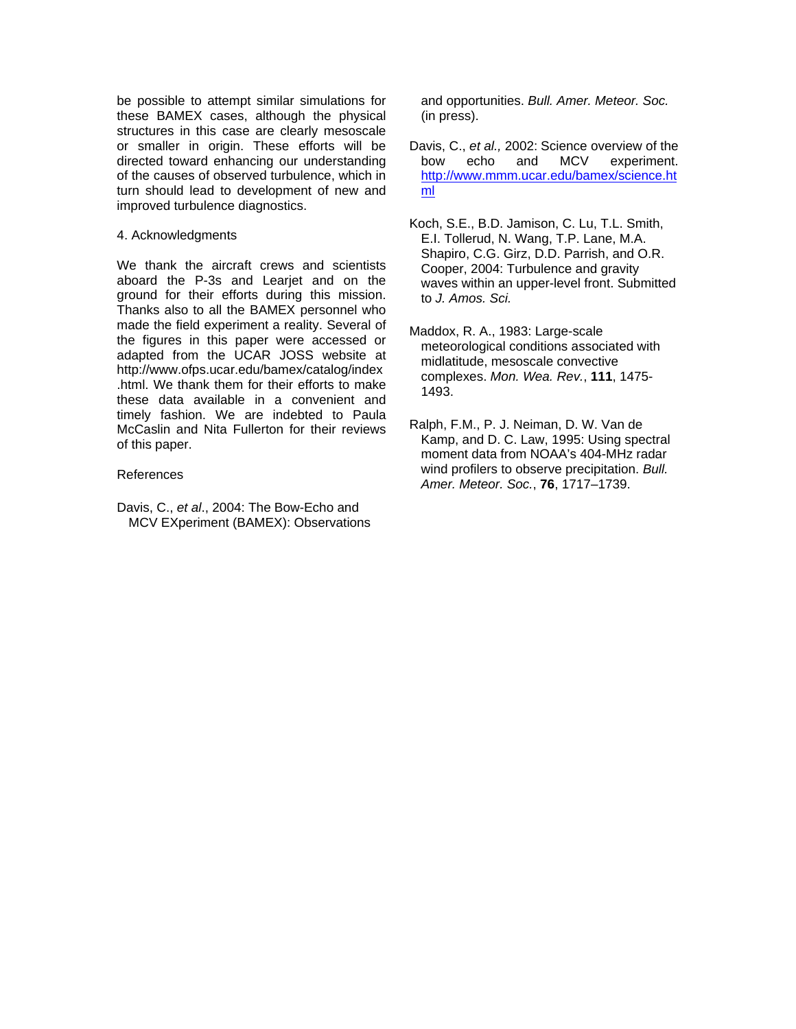be possible to attempt similar simulations for these BAMEX cases, although the physical structures in this case are clearly mesoscale or smaller in origin. These efforts will be directed toward enhancing our understanding of the causes of observed turbulence, which in turn should lead to development of new and improved turbulence diagnostics.

### 4. Acknowledgments

We thank the aircraft crews and scientists aboard the P-3s and Learjet and on the ground for their efforts during this mission. Thanks also to all the BAMEX personnel who made the field experiment a reality. Several of the figures in this paper were accessed or adapted from the UCAR JOSS website at http://www.ofps.ucar.edu/bamex/catalog/index .html. We thank them for their efforts to make these data available in a convenient and timely fashion. We are indebted to Paula McCaslin and Nita Fullerton for their reviews of this paper.

# References

Davis, C., *et al*., 2004: The Bow-Echo and MCV EXperiment (BAMEX): Observations and opportunities. *Bull. Amer. Meteor. Soc.* (in press).

Davis, C., *et al.,* 2002: Science overview of the bow echo and MCV experiment. [http://www.mmm.ucar.edu/bamex/science.ht](http://www.mmm.ucar.edu/bamex/science.html) [ml](http://www.mmm.ucar.edu/bamex/science.html)

Koch, S.E., B.D. Jamison, C. Lu, T.L. Smith, E.I. Tollerud, N. Wang, T.P. Lane, M.A. Shapiro, C.G. Girz, D.D. Parrish, and O.R. Cooper, 2004: Turbulence and gravity waves within an upper-level front. Submitted to *J. Amos. Sci.* 

Maddox, R. A., 1983: Large-scale meteorological conditions associated with midlatitude, mesoscale convective complexes. *Mon. Wea. Rev.*, **111**, 1475- 1493.

Ralph, F.M., P. J. Neiman, D. W. Van de Kamp, and D. C. Law, 1995: Using spectral moment data from NOAA's 404-MHz radar wind profilers to observe precipitation. *Bull. Amer. Meteor. Soc.*, **76**, 1717–1739.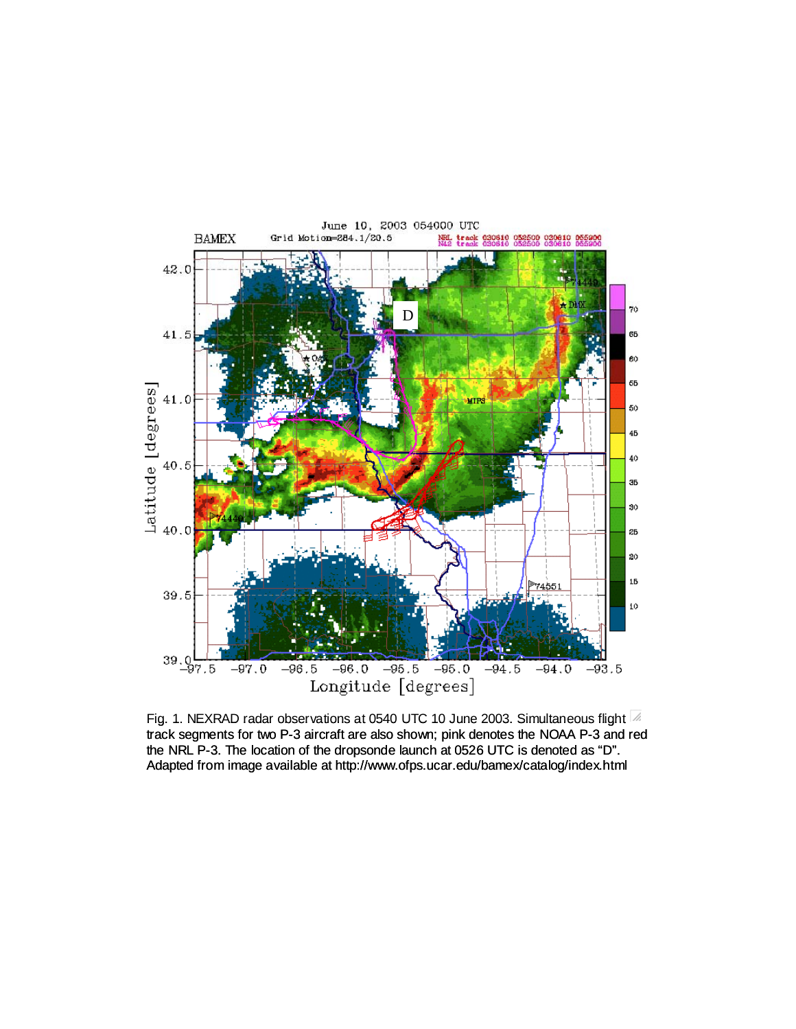

Fig. 1. NEXRAD radar observations at 0540 UTC 10 June 2003. Simultaneous flight  $\mathbb Z$ track segments for two P-3 aircraft are also shown; pink denotes the NOAA P-3 and red the NRL P-3. The location of the dropsonde launch at 0526 UTC is denoted as "D". Adapted from image available at http://www.ofps.ucar.edu/bamex/catalog/index.html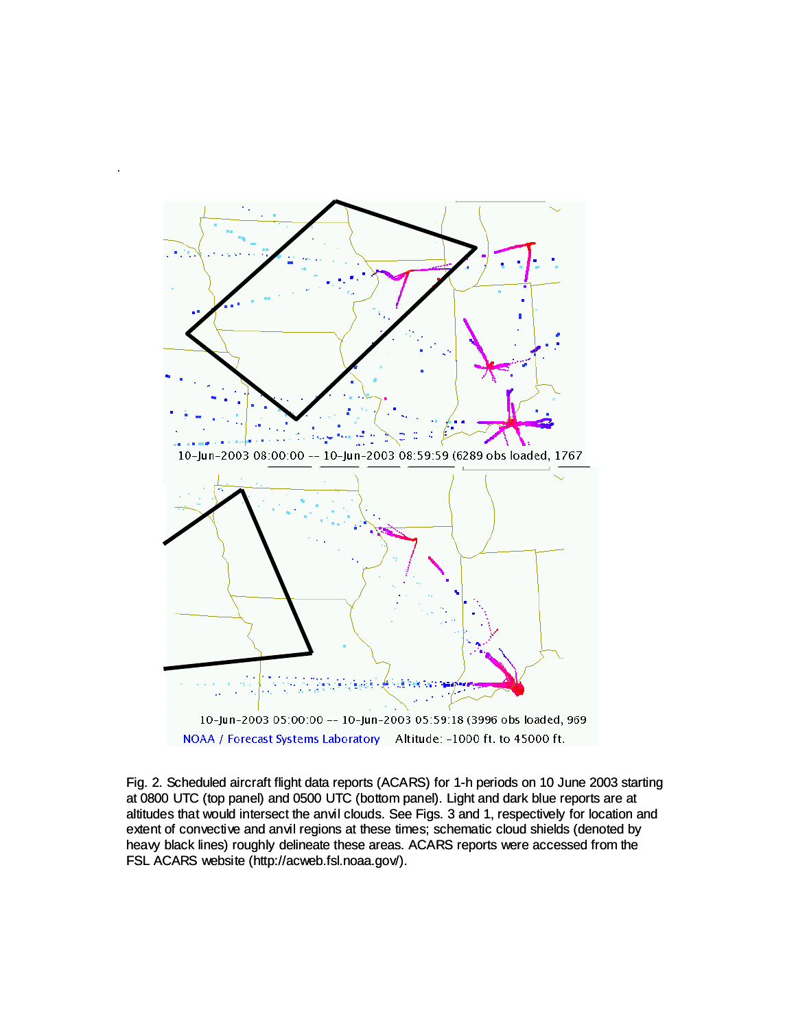

.

Fig. 2. Scheduled aircraft flight data reports (ACARS) for 1-h periods on 10 June 2003 starting at 0800 UTC (top panel) and 0500 UTC (bottom panel). Light and dark blue reports are at altitudes that would intersect the anvil clouds. See Figs. 3 and 1, respectively for location and extent of convective and anvil regions at these times; schematic cloud shields (denoted by heavy black lines) roughly delineate these areas. ACARS reports were accessed from the FSL ACARS website (http://acweb.fsl.noaa.gov/).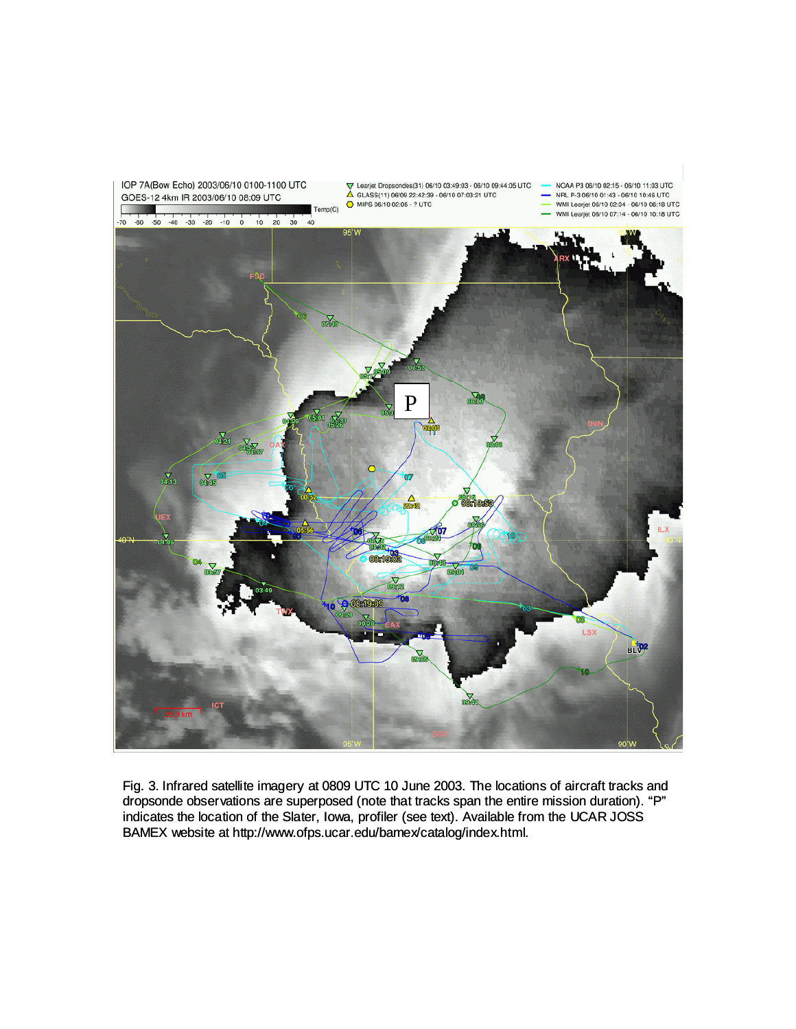

Fig. 3. Infrared satellite imagery at 0809 UTC 10 June 2003. The locations of aircraft tracks and dropsonde observations are superposed (note that tracks span the entire mission duration). "P" indicates the location of the Slater, Iowa, profiler (see text). Available from the UCAR JOSS BAMEX website at http://www.ofps.ucar.edu/bamex/catalog/index.html.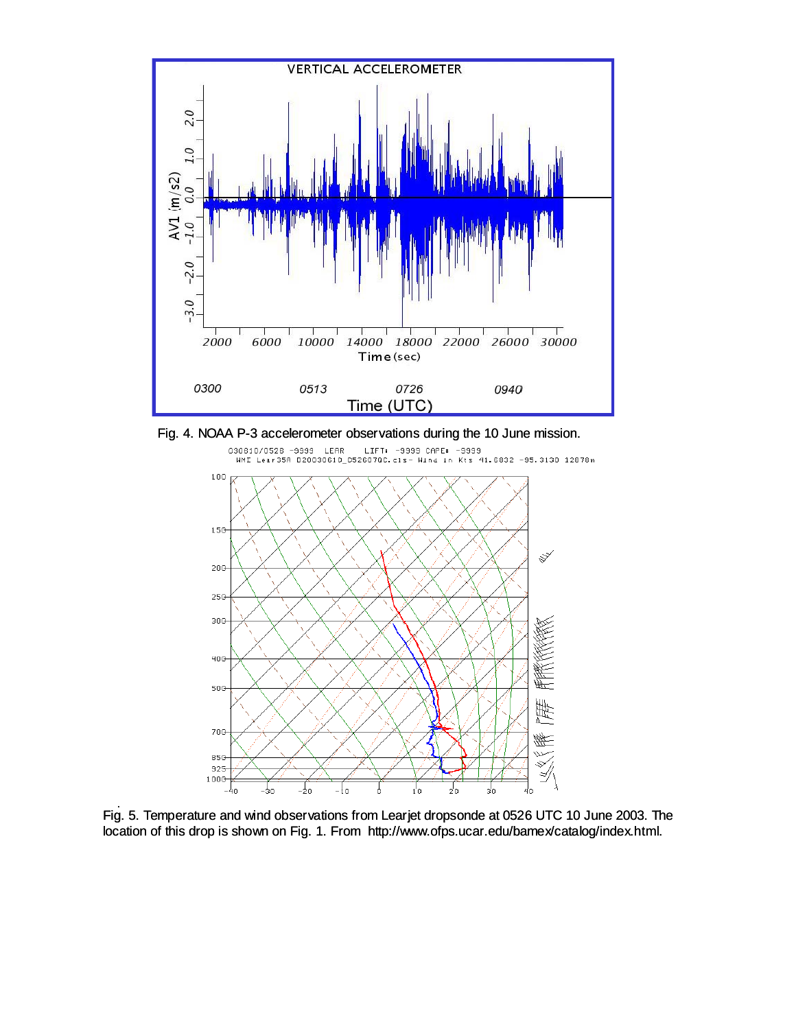

Fig. 4. NOAA P-3 accelerometer observations during the 10 June mission.



Fig. 5. Temperature and wind observations from Learjet dropsonde at 0526 UTC 10 June 2003. The location of this drop is shown on Fig. 1. From http://www.ofps.ucar.edu/bamex/catalog/index.html.

.